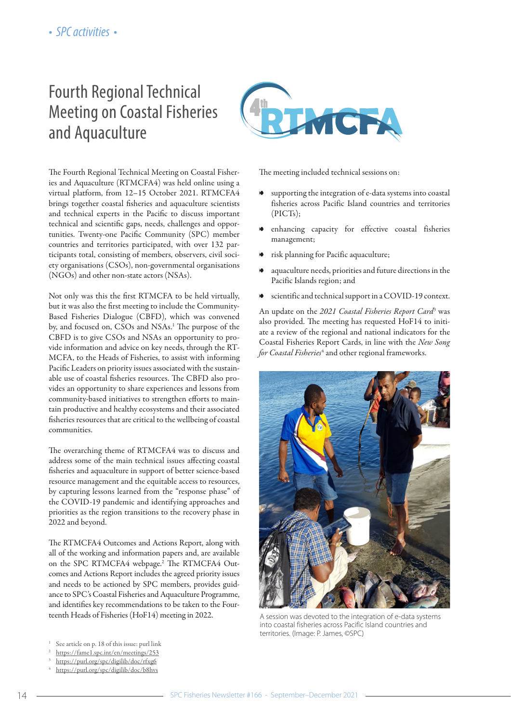# Fourth Regional Technical Meeting on Coastal Fisheries and Aquaculture



The Fourth Regional Technical Meeting on Coastal Fisheries and Aquaculture (RTMCFA4) was held online using a virtual platform, from 12–15 October 2021. RTMCFA4 brings together coastal fisheries and aquaculture scientists and technical experts in the Pacific to discuss important technical and scientific gaps, needs, challenges and opportunities. Twenty-one Pacific Community (SPC) member countries and territories participated, with over 132 participants total, consisting of members, observers, civil society organisations (CSOs), non-governmental organisations (NGOs) and other non-state actors (NSAs).

Not only was this the first RTMCFA to be held virtually, but it was also the first meeting to include the Community-Based Fisheries Dialogue (CBFD), which was convened by, and focused on, CSOs and NSAs.1 The purpose of the CBFD is to give CSOs and NSAs an opportunity to provide information and advice on key needs, through the RT-MCFA, to the Heads of Fisheries, to assist with informing Pacific Leaders on priority issues associated with the sustainable use of coastal fisheries resources. The CBFD also provides an opportunity to share experiences and lessons from community-based initiatives to strengthen efforts to maintain productive and healthy ecosystems and their associated fisheries resources that are critical to the wellbeing of coastal communities.

The overarching theme of RTMCFA4 was to discuss and address some of the main technical issues affecting coastal fisheries and aquaculture in support of better science-based resource management and the equitable access to resources, by capturing lessons learned from the "response phase" of the COVID-19 pandemic and identifying approaches and priorities as the region transitions to the recovery phase in 2022 and beyond.

The RTMCFA4 Outcomes and Actions Report, along with all of the working and information papers and, are available on the SPC RTMCFA4 webpage.2 The RTMCFA4 Outcomes and Actions Report includes the agreed priority issues and needs to be actioned by SPC members, provides guidance to SPC's Coastal Fisheries and Aquaculture Programme, and identifies key recommendations to be taken to the Fourteenth Heads of Fisheries (HoF14) meeting in 2022.

- <sup>1</sup> See article on p. 18 of this issue: purl link
- <sup>2</sup> <https://fame1.spc.int/en/meetings/253>
- <sup>3</sup> https://purl.org/spc/digilib/doc/rfxg6
- <sup>4</sup> https://purl.org/spc/digilib/doc/b8hvs

The meeting included technical sessions on:

- 8 supporting the integration of e-data systems into coastal fisheries across Pacific Island countries and territories (PICTs);
- enhancing capacity for effective coastal fisheries management;
- 8 risk planning for Pacific aquaculture;
- aquaculture needs, priorities and future directions in the Pacific Islands region; and
- 8 scientific and technical support in a COVID-19 context.

An update on the *2021 Coastal Fisheries Report Card*<sup>3</sup> was also provided. The meeting has requested HoF14 to initiate a review of the regional and national indicators for the Coastal Fisheries Report Cards, in line with the *New Song for Coastal Fisheries*<sup>4</sup> and other regional frameworks.



A session was devoted to the integration of e-data systems into coastal fisheries across Pacific Island countries and territories. (Image: P. James, ©SPC)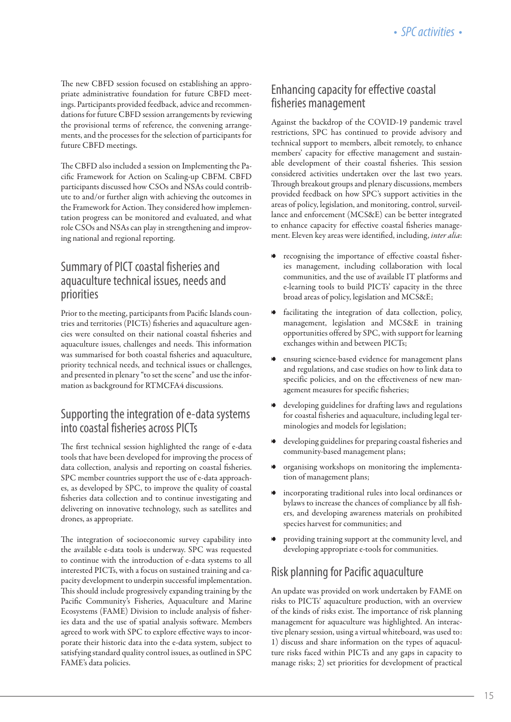The new CBFD session focused on establishing an appropriate administrative foundation for future CBFD meetings. Participants provided feedback, advice and recommendations for future CBFD session arrangements by reviewing the provisional terms of reference, the convening arrangements, and the processes for the selection of participants for future CBFD meetings.

The CBFD also included a session on Implementing the Pacific Framework for Action on Scaling-up CBFM. CBFD participants discussed how CSOs and NSAs could contribute to and/or further align with achieving the outcomes in the Framework for Action. They considered how implementation progress can be monitored and evaluated, and what role CSOs and NSAs can play in strengthening and improving national and regional reporting.

#### Summary of PICT coastal fisheries and aquaculture technical issues, needs and priorities

Prior to the meeting, participants from Pacific Islands countries and territories (PICTs) fisheries and aquaculture agencies were consulted on their national coastal fisheries and aquaculture issues, challenges and needs. This information was summarised for both coastal fisheries and aquaculture, priority technical needs, and technical issues or challenges, and presented in plenary "to set the scene" and use the information as background for RTMCFA4 discussions.

## Supporting the integration of e-data systems into coastal fisheries across PICTs

The first technical session highlighted the range of e-data tools that have been developed for improving the process of data collection, analysis and reporting on coastal fisheries. SPC member countries support the use of e-data approaches, as developed by SPC, to improve the quality of coastal fisheries data collection and to continue investigating and delivering on innovative technology, such as satellites and drones, as appropriate.

The integration of socioeconomic survey capability into the available e-data tools is underway. SPC was requested to continue with the introduction of e-data systems to all interested PICTs, with a focus on sustained training and capacity development to underpin successful implementation. This should include progressively expanding training by the Pacific Community's Fisheries, Aquaculture and Marine Ecosystems (FAME) Division to include analysis of fisheries data and the use of spatial analysis software. Members agreed to work with SPC to explore effective ways to incorporate their historic data into the e-data system, subject to satisfying standard quality control issues, as outlined in SPC FAME's data policies.

### Enhancing capacity for effective coastal fisheries management

Against the backdrop of the COVID-19 pandemic travel restrictions, SPC has continued to provide advisory and technical support to members, albeit remotely, to enhance members' capacity for effective management and sustainable development of their coastal fisheries. This session considered activities undertaken over the last two years. Through breakout groups and plenary discussions, members provided feedback on how SPC's support activities in the areas of policy, legislation, and monitoring, control, surveillance and enforcement (MCS&E) can be better integrated to enhance capacity for effective coastal fisheries management. Eleven key areas were identified, including, *inter alia*:

- recognising the importance of effective coastal fisheries management, including collaboration with local communities, and the use of available IT platforms and e-learning tools to build PICTs' capacity in the three broad areas of policy, legislation and MCS&E;
- facilitating the integration of data collection, policy, management, legislation and MCS&E in training opportunities offered by SPC, with support for learning exchanges within and between PICTs;
- ensuring science-based evidence for management plans and regulations, and case studies on how to link data to specific policies, and on the effectiveness of new management measures for specific fisheries;
- developing guidelines for drafting laws and regulations for coastal fisheries and aquaculture, including legal terminologies and models for legislation;
- developing guidelines for preparing coastal fisheries and community-based management plans;
- organising workshops on monitoring the implementation of management plans;
- incorporating traditional rules into local ordinances or bylaws to increase the chances of compliance by all fishers, and developing awareness materials on prohibited species harvest for communities; and
- providing training support at the community level, and developing appropriate e-tools for communities.

## Risk planning for Pacific aquaculture

An update was provided on work undertaken by FAME on risks to PICTs' aquaculture production, with an overview of the kinds of risks exist. The importance of risk planning management for aquaculture was highlighted. An interactive plenary session, using a virtual whiteboard, was used to: 1) discuss and share information on the types of aquaculture risks faced within PICTs and any gaps in capacity to manage risks; 2) set priorities for development of practical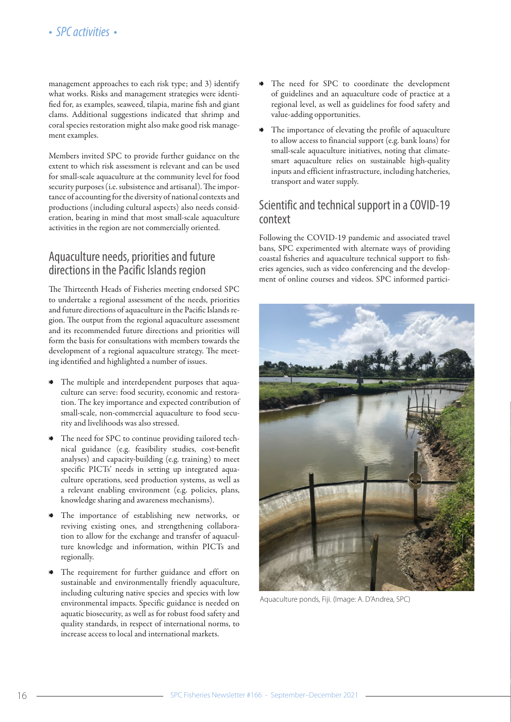management approaches to each risk type; and 3) identify what works. Risks and management strategies were identified for, as examples, seaweed, tilapia, marine fish and giant clams. Additional suggestions indicated that shrimp and coral species restoration might also make good risk management examples.

Members invited SPC to provide further guidance on the extent to which risk assessment is relevant and can be used for small-scale aquaculture at the community level for food security purposes (i.e. subsistence and artisanal). The importance of accounting for the diversity of national contexts and productions (including cultural aspects) also needs consideration, bearing in mind that most small-scale aquaculture activities in the region are not commercially oriented.

#### Aquaculture needs, priorities and future directions in the Pacific Islands region

The Thirteenth Heads of Fisheries meeting endorsed SPC to undertake a regional assessment of the needs, priorities and future directions of aquaculture in the Pacific Islands region. The output from the regional aquaculture assessment and its recommended future directions and priorities will form the basis for consultations with members towards the development of a regional aquaculture strategy. The meeting identified and highlighted a number of issues.

- The multiple and interdependent purposes that aquaculture can serve: food security, economic and restoration. The key importance and expected contribution of small-scale, non-commercial aquaculture to food security and livelihoods was also stressed.
- The need for SPC to continue providing tailored technical guidance (e.g. feasibility studies, cost-benefit analyses) and capacity-building (e.g. training) to meet specific PICTs' needs in setting up integrated aquaculture operations, seed production systems, as well as a relevant enabling environment (e.g. policies, plans, knowledge sharing and awareness mechanisms).
- The importance of establishing new networks, or reviving existing ones, and strengthening collaboration to allow for the exchange and transfer of aquaculture knowledge and information, within PICTs and regionally.
- The requirement for further guidance and effort on sustainable and environmentally friendly aquaculture, including culturing native species and species with low environmental impacts. Specific guidance is needed on aquatic biosecurity, as well as for robust food safety and quality standards, in respect of international norms, to increase access to local and international markets.
- The need for SPC to coordinate the development of guidelines and an aquaculture code of practice at a regional level, as well as guidelines for food safety and value-adding opportunities.
- 8 The importance of elevating the profile of aquaculture to allow access to financial support (e.g. bank loans) for small-scale aquaculture initiatives, noting that climatesmart aquaculture relies on sustainable high-quality inputs and efficient infrastructure, including hatcheries, transport and water supply.

#### Scientific and technical support in a COVID-19 context

Following the COVID-19 pandemic and associated travel bans, SPC experimented with alternate ways of providing coastal fisheries and aquaculture technical support to fisheries agencies, such as video conferencing and the development of online courses and videos. SPC informed partici-



Aquaculture ponds, Fiji. (Image: A. D'Andrea, SPC)